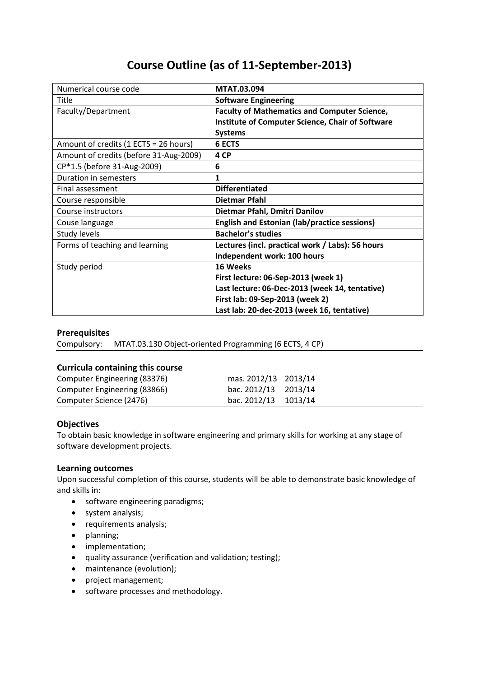# **Course Outline (as of 11-September-2013)**

| Numerical course code                  | <b>MTAT.03.094</b>                                      |  |  |
|----------------------------------------|---------------------------------------------------------|--|--|
| Title                                  | <b>Software Engineering</b>                             |  |  |
| Faculty/Department                     | <b>Faculty of Mathematics and Computer Science,</b>     |  |  |
|                                        | <b>Institute of Computer Science, Chair of Software</b> |  |  |
|                                        | <b>Systems</b>                                          |  |  |
| Amount of credits (1 ECTS = 26 hours)  | <b>6 ECTS</b>                                           |  |  |
| Amount of credits (before 31-Aug-2009) | 4 CP                                                    |  |  |
| CP*1.5 (before 31-Aug-2009)            | 6                                                       |  |  |
| Duration in semesters                  | 1                                                       |  |  |
| Final assessment                       | <b>Differentiated</b>                                   |  |  |
| Course responsible                     | <b>Dietmar Pfahl</b>                                    |  |  |
| Course instructors                     | Dietmar Pfahl, Dmitri Danilov                           |  |  |
| Couse language                         | <b>English and Estonian (lab/practice sessions)</b>     |  |  |
| Study levels                           | <b>Bachelor's studies</b>                               |  |  |
| Forms of teaching and learning         | Lectures (incl. practical work / Labs): 56 hours        |  |  |
|                                        | Independent work: 100 hours                             |  |  |
| Study period                           | 16 Weeks                                                |  |  |
|                                        | First lecture: 06-Sep-2013 (week 1)                     |  |  |
|                                        | Last lecture: 06-Dec-2013 (week 14, tentative)          |  |  |
|                                        | First lab: 09-Sep-2013 (week 2)                         |  |  |
|                                        | Last lab: 20-dec-2013 (week 16, tentative)              |  |  |

# **Prerequisites**

Compulsory: MTAT.03.130 Object-oriented Programming (6 ECTS, 4 CP)

## **Curricula containing this course**

| Computer Engineering (83376) | mas. 2012/13 2013/14 |  |
|------------------------------|----------------------|--|
| Computer Engineering (83866) | bac. 2012/13 2013/14 |  |
| Computer Science (2476)      | bac. 2012/13 1013/14 |  |

## **Objectives**

To obtain basic knowledge in software engineering and primary skills for working at any stage of software development projects.

## **Learning outcomes**

Upon successful completion of this course, students will be able to demonstrate basic knowledge of and skills in:

- software engineering paradigms;
- system analysis;
- requirements analysis;
- planning;
- implementation;
- quality assurance (verification and validation; testing);
- maintenance (evolution);
- project management;
- software processes and methodology.